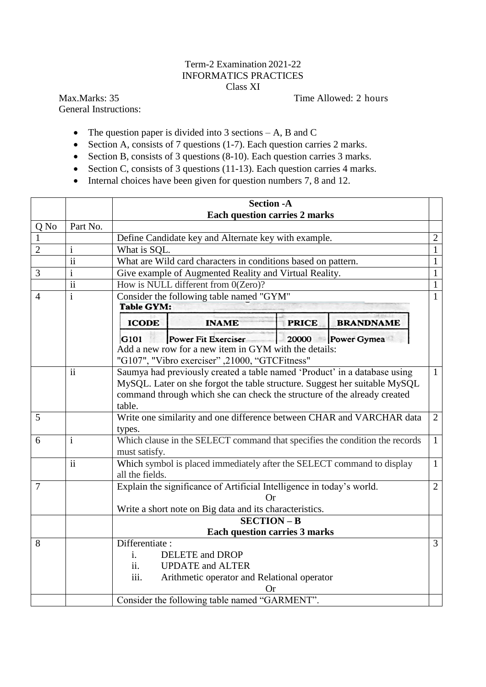## Term-2 Examination 2021-22 INFORMATICS PRACTICES Class XI

General Instructions:

Max.Marks: 35 Time Allowed: 2 hours

- The question paper is divided into 3 sections  $-A$ , B and C
- Section A, consists of 7 questions (1-7). Each question carries 2 marks.
- Section B, consists of 3 questions (8-10). Each question carries 3 marks.
- Section C, consists of 3 questions (11-13). Each question carries 4 marks.
- Internal choices have been given for question numbers 7, 8 and 12.

|                |                                                                                             | <b>Section -A</b>                                                                          |                                                                                         |  |  |  |  |  |  |  |  |
|----------------|---------------------------------------------------------------------------------------------|--------------------------------------------------------------------------------------------|-----------------------------------------------------------------------------------------|--|--|--|--|--|--|--|--|
|                |                                                                                             | <b>Each question carries 2 marks</b>                                                       |                                                                                         |  |  |  |  |  |  |  |  |
| Q No           | Part No.                                                                                    |                                                                                            |                                                                                         |  |  |  |  |  |  |  |  |
| 1              |                                                                                             | Define Candidate key and Alternate key with example.<br>$\overline{2}$                     |                                                                                         |  |  |  |  |  |  |  |  |
| $\overline{2}$ | $\mathbf{i}$                                                                                | What is SQL.<br>1                                                                          |                                                                                         |  |  |  |  |  |  |  |  |
|                | $\overline{\textbf{ii}}$                                                                    | What are Wild card characters in conditions based on pattern.                              | $\mathbf{1}$                                                                            |  |  |  |  |  |  |  |  |
| 3              | $\mathbf{i}$                                                                                | Give example of Augmented Reality and Virtual Reality.                                     | $\mathbf{1}$                                                                            |  |  |  |  |  |  |  |  |
|                | $\overline{\textbf{ii}}$                                                                    | How is NULL different from 0(Zero)?<br>$\mathbf{1}$                                        |                                                                                         |  |  |  |  |  |  |  |  |
| $\overline{4}$ | $\mathbf{i}$                                                                                | Consider the following table named "GYM"                                                   | 1                                                                                       |  |  |  |  |  |  |  |  |
|                | <b>Table GYM:</b>                                                                           |                                                                                            |                                                                                         |  |  |  |  |  |  |  |  |
|                |                                                                                             | <b>ICODE</b><br><b>PRICE</b><br><b>INAME</b><br><b>BRANDNAME</b>                           |                                                                                         |  |  |  |  |  |  |  |  |
|                |                                                                                             | <b>Power Fit Exerciser</b><br>20000 Power Gymea<br>G101                                    |                                                                                         |  |  |  |  |  |  |  |  |
|                |                                                                                             | Add a new row for a new item in GYM with the details:                                      |                                                                                         |  |  |  |  |  |  |  |  |
|                | "G107", "Vibro exerciser", 21000, "GTCFitness"                                              |                                                                                            |                                                                                         |  |  |  |  |  |  |  |  |
|                | $\ddot{\rm ii}$                                                                             | Saumya had previously created a table named 'Product' in a database using                  |                                                                                         |  |  |  |  |  |  |  |  |
|                |                                                                                             | $\mathbf{1}$<br>MySQL. Later on she forgot the table structure. Suggest her suitable MySQL |                                                                                         |  |  |  |  |  |  |  |  |
|                |                                                                                             | command through which she can check the structure of the already created                   |                                                                                         |  |  |  |  |  |  |  |  |
|                |                                                                                             | table.                                                                                     |                                                                                         |  |  |  |  |  |  |  |  |
| 5              |                                                                                             |                                                                                            | $\overline{2}$<br>Write one similarity and one difference between CHAR and VARCHAR data |  |  |  |  |  |  |  |  |
|                |                                                                                             | types.                                                                                     |                                                                                         |  |  |  |  |  |  |  |  |
| 6              | Which clause in the SELECT command that specifies the condition the records<br>$\mathbf{i}$ |                                                                                            |                                                                                         |  |  |  |  |  |  |  |  |
|                |                                                                                             | must satisfy.                                                                              | $\mathbf{1}$                                                                            |  |  |  |  |  |  |  |  |
|                | $\mathbf{ii}$<br>Which symbol is placed immediately after the SELECT command to display     |                                                                                            |                                                                                         |  |  |  |  |  |  |  |  |
|                |                                                                                             | all the fields.                                                                            |                                                                                         |  |  |  |  |  |  |  |  |
| $\overline{7}$ |                                                                                             | Explain the significance of Artificial Intelligence in today's world.<br>$\overline{2}$    |                                                                                         |  |  |  |  |  |  |  |  |
|                |                                                                                             | Or                                                                                         |                                                                                         |  |  |  |  |  |  |  |  |
|                |                                                                                             | Write a short note on Big data and its characteristics.                                    |                                                                                         |  |  |  |  |  |  |  |  |
|                |                                                                                             | $SECTION - B$                                                                              |                                                                                         |  |  |  |  |  |  |  |  |
|                |                                                                                             | <b>Each question carries 3 marks</b>                                                       |                                                                                         |  |  |  |  |  |  |  |  |
| 8              |                                                                                             | Differentiate:                                                                             | 3                                                                                       |  |  |  |  |  |  |  |  |
|                |                                                                                             | <b>DELETE</b> and <b>DROP</b><br>$\mathbf{i}$ .                                            |                                                                                         |  |  |  |  |  |  |  |  |
|                |                                                                                             | ii.<br><b>UPDATE</b> and <b>ALTER</b>                                                      |                                                                                         |  |  |  |  |  |  |  |  |
|                |                                                                                             | iii.<br>Arithmetic operator and Relational operator                                        |                                                                                         |  |  |  |  |  |  |  |  |
|                |                                                                                             | Or)                                                                                        |                                                                                         |  |  |  |  |  |  |  |  |
|                |                                                                                             | Consider the following table named "GARMENT".                                              |                                                                                         |  |  |  |  |  |  |  |  |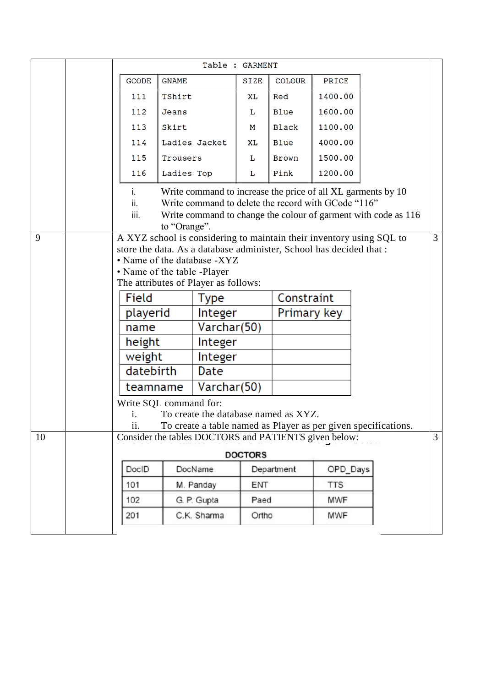|                                                                                                                                                             |                                                                                                                                                                                                                            | Table : GARMENT                                                                                                                                                                                                                                   |               |             |                     |                 |            |  |                |
|-------------------------------------------------------------------------------------------------------------------------------------------------------------|----------------------------------------------------------------------------------------------------------------------------------------------------------------------------------------------------------------------------|---------------------------------------------------------------------------------------------------------------------------------------------------------------------------------------------------------------------------------------------------|---------------|-------------|---------------------|-----------------|------------|--|----------------|
|                                                                                                                                                             |                                                                                                                                                                                                                            | <b>GCODE</b>                                                                                                                                                                                                                                      | <b>GNAME</b>  |             | SIZE                | <b>COLOUR</b>   | PRICE      |  |                |
|                                                                                                                                                             |                                                                                                                                                                                                                            | 111                                                                                                                                                                                                                                               | TShirt        |             | XL                  | Red             | 1400.00    |  |                |
|                                                                                                                                                             |                                                                                                                                                                                                                            | 112                                                                                                                                                                                                                                               | Jeans         |             | Ŀ                   | <b>Blue</b>     | 1600.00    |  |                |
|                                                                                                                                                             |                                                                                                                                                                                                                            | 113                                                                                                                                                                                                                                               | Skirt         |             | м                   | Black           | 1100.00    |  |                |
|                                                                                                                                                             |                                                                                                                                                                                                                            | 114                                                                                                                                                                                                                                               | Ladies Jacket |             | XL                  | 4000.00<br>Blue |            |  |                |
|                                                                                                                                                             |                                                                                                                                                                                                                            | 115<br>Trousers                                                                                                                                                                                                                                   |               |             | L                   | Brown           | 1500.00    |  |                |
|                                                                                                                                                             |                                                                                                                                                                                                                            | 116                                                                                                                                                                                                                                               | Ladies Top    |             | г                   | Pink            | 1200.00    |  |                |
|                                                                                                                                                             | Write command to increase the price of all XL garments by 10<br>İ.<br>Write command to delete the record with GCode "116"<br>ii.<br>iii.<br>Write command to change the colour of garment with code as 116<br>to "Orange". |                                                                                                                                                                                                                                                   |               |             |                     |                 |            |  |                |
| 9                                                                                                                                                           |                                                                                                                                                                                                                            | A XYZ school is considering to maintain their inventory using SQL to<br>store the data. As a database administer, School has decided that :<br>• Name of the database -XYZ<br>• Name of the table -Player<br>The attributes of Player as follows: |               |             |                     |                 |            |  | $\overline{3}$ |
|                                                                                                                                                             |                                                                                                                                                                                                                            | Field                                                                                                                                                                                                                                             |               | <b>Type</b> | Constraint          |                 |            |  |                |
|                                                                                                                                                             |                                                                                                                                                                                                                            | playerid                                                                                                                                                                                                                                          |               | Integer     |                     | Primary key     |            |  |                |
|                                                                                                                                                             |                                                                                                                                                                                                                            | name                                                                                                                                                                                                                                              |               | Varchar(50) |                     |                 |            |  |                |
|                                                                                                                                                             |                                                                                                                                                                                                                            | height                                                                                                                                                                                                                                            |               | Integer     |                     |                 |            |  |                |
|                                                                                                                                                             |                                                                                                                                                                                                                            | weight                                                                                                                                                                                                                                            |               | Integer     |                     |                 |            |  |                |
|                                                                                                                                                             | datebirth<br>Date                                                                                                                                                                                                          |                                                                                                                                                                                                                                                   |               |             |                     |                 |            |  |                |
|                                                                                                                                                             |                                                                                                                                                                                                                            | teamname                                                                                                                                                                                                                                          |               | Varchar(50) |                     |                 |            |  |                |
| Write SQL command for:<br>To create the database named as XYZ.<br>i.<br>To create a table named as Player as per given specifications.<br>$\overline{11}$ . |                                                                                                                                                                                                                            |                                                                                                                                                                                                                                                   |               |             |                     |                 |            |  | $\overline{3}$ |
| 10                                                                                                                                                          |                                                                                                                                                                                                                            | Consider the tables DOCTORS and PATIENTS given below:                                                                                                                                                                                             |               |             |                     |                 |            |  |                |
|                                                                                                                                                             |                                                                                                                                                                                                                            | <b>DOCTORS</b>                                                                                                                                                                                                                                    |               |             |                     |                 |            |  |                |
|                                                                                                                                                             |                                                                                                                                                                                                                            | DoclD                                                                                                                                                                                                                                             | DocName       |             | Department          |                 | OPD_Days   |  |                |
|                                                                                                                                                             |                                                                                                                                                                                                                            | 101                                                                                                                                                                                                                                               |               | M. Panday   | ENT                 |                 | <b>TTS</b> |  |                |
|                                                                                                                                                             |                                                                                                                                                                                                                            | 102                                                                                                                                                                                                                                               |               | G. P. Gupta |                     | MWF<br>Paed     |            |  |                |
|                                                                                                                                                             |                                                                                                                                                                                                                            | 201                                                                                                                                                                                                                                               |               | C.K. Sharma | Ortho<br><b>MWF</b> |                 |            |  |                |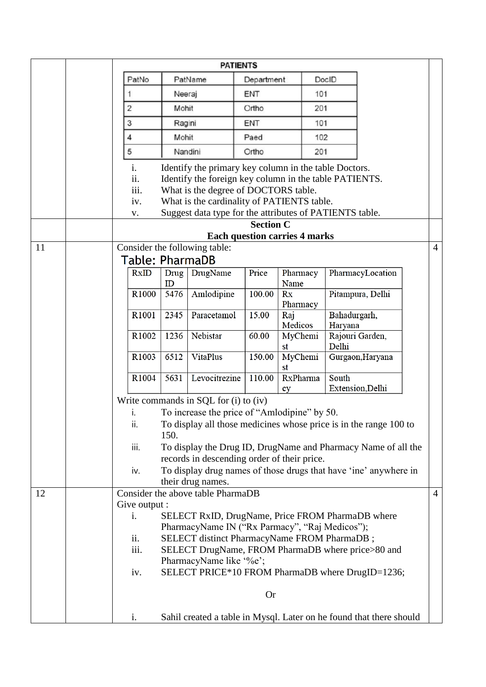|    | <b>PATIENTS</b>                                                                                                                                                                                                                                                                                    |                                                                             |                 |            |                          |       |                         |  |                |
|----|----------------------------------------------------------------------------------------------------------------------------------------------------------------------------------------------------------------------------------------------------------------------------------------------------|-----------------------------------------------------------------------------|-----------------|------------|--------------------------|-------|-------------------------|--|----------------|
|    | PatNo<br>PatName                                                                                                                                                                                                                                                                                   |                                                                             |                 | Department |                          | DocID |                         |  |                |
|    | Neeraj                                                                                                                                                                                                                                                                                             |                                                                             |                 | ENT        |                          | 101   |                         |  |                |
|    | 2                                                                                                                                                                                                                                                                                                  | Mohit                                                                       |                 | Ortho      |                          | 201   |                         |  |                |
|    | 3                                                                                                                                                                                                                                                                                                  | Ragini                                                                      |                 | ENT        |                          | 101   |                         |  |                |
|    | 4                                                                                                                                                                                                                                                                                                  | Mohit                                                                       |                 | Paed       |                          |       | 102                     |  |                |
|    | 5                                                                                                                                                                                                                                                                                                  |                                                                             | Nandini         | Ortho      |                          | 201   |                         |  |                |
|    | Identify the primary key column in the table Doctors.<br>i.<br>ii.<br>Identify the foreign key column in the table PATIENTS.<br>iii.<br>What is the degree of DOCTORS table.<br>What is the cardinality of PATIENTS table.<br>iv.<br>Suggest data type for the attributes of PATIENTS table.<br>V. |                                                                             |                 |            |                          |       |                         |  |                |
|    | <b>Section C</b>                                                                                                                                                                                                                                                                                   |                                                                             |                 |            |                          |       |                         |  |                |
|    | <b>Each question carries 4 marks</b><br>Consider the following table:                                                                                                                                                                                                                              |                                                                             |                 |            |                          |       |                         |  |                |
| 11 |                                                                                                                                                                                                                                                                                                    |                                                                             |                 |            |                          |       |                         |  | $\overline{4}$ |
|    | Table: PharmaDB                                                                                                                                                                                                                                                                                    |                                                                             |                 | Price      |                          |       |                         |  |                |
|    | RxID                                                                                                                                                                                                                                                                                               | Drug<br>ID                                                                  | DrugName        |            | Pharmacy<br>Name         |       | PharmacyLocation        |  |                |
|    | R1000                                                                                                                                                                                                                                                                                              | 5476                                                                        | Amlodipine      | 100.00     | Rx<br>Pharmacy           |       | Pitampura, Delhi        |  |                |
|    | R1001                                                                                                                                                                                                                                                                                              | 2345                                                                        | Paracetamol     | 15.00      | Raj                      |       | Bahadurgarh,<br>Haryana |  |                |
|    | R1002                                                                                                                                                                                                                                                                                              | 1236                                                                        | Nebistar        | 60.00      | Medicos<br>MyChemi       |       | Rajouri Garden,         |  |                |
|    |                                                                                                                                                                                                                                                                                                    |                                                                             |                 |            | st                       |       | Delhi                   |  |                |
|    | R1003                                                                                                                                                                                                                                                                                              | 6512                                                                        | <b>VitaPlus</b> | 150.00     | MyChemi<br>st            |       | Gurgaon, Haryana        |  |                |
|    | R1004                                                                                                                                                                                                                                                                                              | 5631                                                                        | Levocitrezine   | 110.00     | <b>RxPharma</b><br>South |       |                         |  |                |
|    |                                                                                                                                                                                                                                                                                                    |                                                                             |                 |            | Extension, Delhi<br>cy   |       |                         |  |                |
|    | Write commands in SQL for (i) to (iv)                                                                                                                                                                                                                                                              |                                                                             |                 |            |                          |       |                         |  |                |
|    | To increase the price of "Amlodipine" by 50.<br>To display all those medicines whose price is in the range 100 to<br>ii.                                                                                                                                                                           |                                                                             |                 |            |                          |       |                         |  |                |
|    | 150.                                                                                                                                                                                                                                                                                               |                                                                             |                 |            |                          |       |                         |  |                |
|    | iii.<br>To display the Drug ID, DrugName and Pharmacy Name of all the                                                                                                                                                                                                                              |                                                                             |                 |            |                          |       |                         |  |                |
|    | records in descending order of their price.                                                                                                                                                                                                                                                        |                                                                             |                 |            |                          |       |                         |  |                |
|    | To display drug names of those drugs that have 'ine' anywhere in<br>iv.<br>their drug names.                                                                                                                                                                                                       |                                                                             |                 |            |                          |       |                         |  |                |
| 12 | Consider the above table PharmaDB                                                                                                                                                                                                                                                                  |                                                                             |                 |            |                          |       |                         |  | $\overline{4}$ |
|    | Give output :                                                                                                                                                                                                                                                                                      |                                                                             |                 |            |                          |       |                         |  |                |
|    | i.                                                                                                                                                                                                                                                                                                 | SELECT RxID, DrugName, Price FROM PharmaDB where                            |                 |            |                          |       |                         |  |                |
|    |                                                                                                                                                                                                                                                                                                    | PharmacyName IN ("Rx Parmacy", "Raj Medicos");                              |                 |            |                          |       |                         |  |                |
|    | ii.                                                                                                                                                                                                                                                                                                | SELECT distinct PharmacyName FROM PharmaDB;                                 |                 |            |                          |       |                         |  |                |
|    |                                                                                                                                                                                                                                                                                                    | iii.<br>SELECT DrugName, FROM PharmaDB where price>80 and                   |                 |            |                          |       |                         |  |                |
|    | iv.                                                                                                                                                                                                                                                                                                | PharmacyName like '%e';<br>SELECT PRICE*10 FROM PharmaDB where DrugID=1236; |                 |            |                          |       |                         |  |                |
|    | <b>Or</b>                                                                                                                                                                                                                                                                                          |                                                                             |                 |            |                          |       |                         |  |                |
|    |                                                                                                                                                                                                                                                                                                    |                                                                             |                 |            |                          |       |                         |  |                |
|    | Sahil created a table in Mysql. Later on he found that there should<br>i.                                                                                                                                                                                                                          |                                                                             |                 |            |                          |       |                         |  |                |